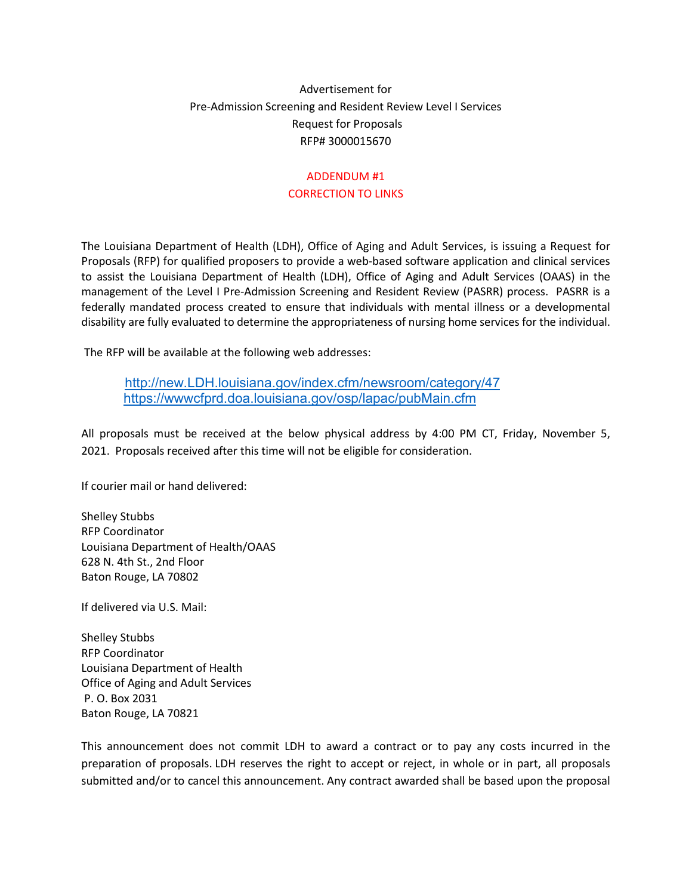## Advertisement for Pre-Admission Screening and Resident Review Level I Services Request for Proposals RFP# 3000015670

## ADDENDUM #1 CORRECTION TO LINKS

The Louisiana Department of Health (LDH), Office of Aging and Adult Services, is issuing a Request for Proposals (RFP) for qualified proposers to provide a web-based software application and clinical services to assist the Louisiana Department of Health (LDH), Office of Aging and Adult Services (OAAS) in the management of the Level I Pre-Admission Screening and Resident Review (PASRR) process. PASRR is a federally mandated process created to ensure that individuals with mental illness or a developmental disability are fully evaluated to determine the appropriateness of nursing home services for the individual.

The RFP will be available at the following web addresses:

[http://new.LDH.louisiana.gov/index.cfm/newsroom/category/47](http://new.dhh.louisiana.gov/index.cfm/newsroom/category/47) <https://wwwcfprd.doa.louisiana.gov/osp/lapac/pubMain.cfm>

All proposals must be received at the below physical address by 4:00 PM CT, Friday, November 5, 2021. Proposals received after this time will not be eligible for consideration.

If courier mail or hand delivered:

Shelley Stubbs RFP Coordinator Louisiana Department of Health/OAAS 628 N. 4th St., 2nd Floor Baton Rouge, LA 70802

If delivered via U.S. Mail:

Shelley Stubbs RFP Coordinator Louisiana Department of Health Office of Aging and Adult Services P. O. Box 2031 Baton Rouge, LA 70821

This announcement does not commit LDH to award a contract or to pay any costs incurred in the preparation of proposals. LDH reserves the right to accept or reject, in whole or in part, all proposals submitted and/or to cancel this announcement. Any contract awarded shall be based upon the proposal